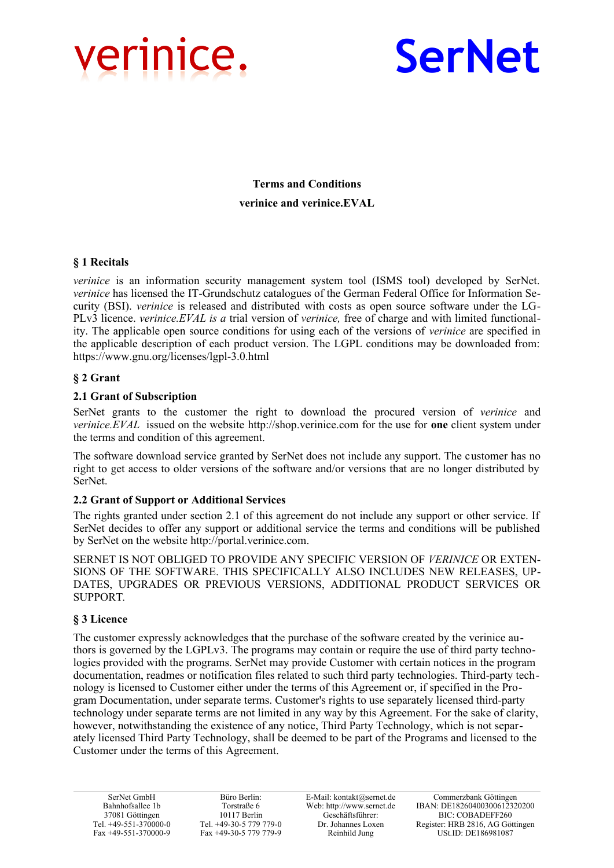



**Terms and Conditions verinice and verinice.EVAL**

# **§ 1 Recitals**

*verinice* is an information security management system tool (ISMS tool) developed by SerNet. *verinice* has licensed the IT-Grundschutz catalogues of the German Federal Office for Information Security (BSI). *verinice* is released and distributed with costs as open source software under the LG-PLv3 licence. *verinice.EVAL is a* trial version of *verinice,* free of charge and with limited functionality. The applicable open source conditions for using each of the versions of *verinice* are specified in the applicable description of each product version. The LGPL conditions may be downloaded from: https://www.gnu.org/licenses/lgpl-3.0.html

# **§ 2 Grant**

### **2.1 Grant of Subscription**

SerNet grants to the customer the right to download the procured version of *verinice* and *verinice.EVAL* issued on the website http://shop.verinice.com for the use for **one** client system under the terms and condition of this agreement.

The software download service granted by SerNet does not include any support. The customer has no right to get access to older versions of the software and/or versions that are no longer distributed by SerNet.

### **2.2 Grant of Support or Additional Services**

The rights granted under section 2.1 of this agreement do not include any support or other service. If SerNet decides to offer any support or additional service the terms and conditions will be published by SerNet on the website http://portal.verinice.com.

SERNET IS NOT OBLIGED TO PROVIDE ANY SPECIFIC VERSION OF *VERINICE* OR EXTEN-SIONS OF THE SOFTWARE. THIS SPECIFICALLY ALSO INCLUDES NEW RELEASES, UP-DATES, UPGRADES OR PREVIOUS VERSIONS, ADDITIONAL PRODUCT SERVICES OR SUPPORT*.*

### **§ 3 Licence**

The customer expressly acknowledges that the purchase of the software created by the verinice authors is governed by the LGPLv3. The programs may contain or require the use of third party technologies provided with the programs. SerNet may provide Customer with certain notices in the program documentation, readmes or notification files related to such third party technologies. Third-party technology is licensed to Customer either under the terms of this Agreement or, if specified in the Program Documentation, under separate terms. Customer's rights to use separately licensed third-party technology under separate terms are not limited in any way by this Agreement. For the sake of clarity, however, notwithstanding the existence of any notice, Third Party Technology, which is not separately licensed Third Party Technology, shall be deemed to be part of the Programs and licensed to the Customer under the terms of this Agreement.

Büro Berlin: Torstraße 6 10117 Berlin Tel. +49-30-5 779 779-0 Fax +49-30-5 779 779-9

E-Mail: kontakt@sernet.de Web: http://www.sernet.de Geschäftsführer: Dr. Johannes Loxen Reinhild Jung

Commerzbank Göttingen IBAN: DE18260400300612320200 BIC: COBADEFF260 Register: HRB 2816, AG Göttingen USt.ID: DE186981087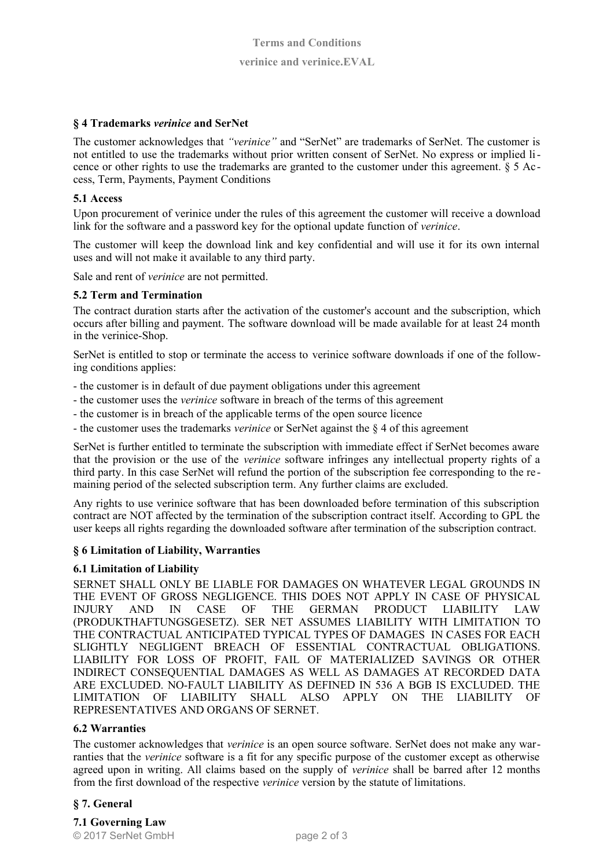# **§ 4 Trademarks** *verinice* **and SerNet**

The customer acknowledges that *"verinice"* and "SerNet" are trademarks of SerNet. The customer is not entitled to use the trademarks without prior written consent of SerNet. No express or implied licence or other rights to use the trademarks are granted to the customer under this agreement. § 5 Access, Term, Payments, Payment Conditions

### **5.1 Access**

Upon procurement of verinice under the rules of this agreement the customer will receive a download link for the software and a password key for the optional update function of *verinice*.

The customer will keep the download link and key confidential and will use it for its own internal uses and will not make it available to any third party.

Sale and rent of *verinice* are not permitted.

# **5.2 Term and Termination**

The contract duration starts after the activation of the customer's account and the subscription, which occurs after billing and payment. The software download will be made available for at least 24 month in the verinice-Shop.

SerNet is entitled to stop or terminate the access to verinice software downloads if one of the following conditions applies:

- the customer is in default of due payment obligations under this agreement
- the customer uses the *verinice* software in breach of the terms of this agreement
- the customer is in breach of the applicable terms of the open source licence
- the customer uses the trademarks *verinice* or SerNet against the § 4 of this agreement

SerNet is further entitled to terminate the subscription with immediate effect if SerNet becomes aware that the provision or the use of the *verinice* software infringes any intellectual property rights of a third party. In this case SerNet will refund the portion of the subscription fee corresponding to the re maining period of the selected subscription term. Any further claims are excluded.

Any rights to use verinice software that has been downloaded before termination of this subscription contract are NOT affected by the termination of the subscription contract itself. According to GPL the user keeps all rights regarding the downloaded software after termination of the subscription contract.

### **§ 6 Limitation of Liability, Warranties**

### **6.1 Limitation of Liability**

SERNET SHALL ONLY BE LIABLE FOR DAMAGES ON WHATEVER LEGAL GROUNDS IN THE EVENT OF GROSS NEGLIGENCE. THIS DOES NOT APPLY IN CASE OF PHYSICAL INJURY AND IN CASE OF THE GERMAN PRODUCT LIABILITY LAW (PRODUKTHAFTUNGSGESETZ). SER NET ASSUMES LIABILITY WITH LIMITATION TO THE CONTRACTUAL ANTICIPATED TYPICAL TYPES OF DAMAGES IN CASES FOR EACH SLIGHTLY NEGLIGENT BREACH OF ESSENTIAL CONTRACTUAL OBLIGATIONS. LIABILITY FOR LOSS OF PROFIT, FAIL OF MATERIALIZED SAVINGS OR OTHER INDIRECT CONSEQUENTIAL DAMAGES AS WELL AS DAMAGES AT RECORDED DATA ARE EXCLUDED. NO-FAULT LIABILITY AS DEFINED IN 536 A BGB IS EXCLUDED. THE LIMITATION OF LIABILITY SHALL ALSO APPLY ON THE LIABILITY OF REPRESENTATIVES AND ORGANS OF SERNET.

### **6.2 Warranties**

The customer acknowledges that *verinice* is an open source software. SerNet does not make any warranties that the *verinice* software is a fit for any specific purpose of the customer except as otherwise agreed upon in writing. All claims based on the supply of *verinice* shall be barred after 12 months from the first download of the respective *verinice* version by the statute of limitations.

### **§ 7. General**

**7.1 Governing Law** © 2017 SerNet GmbH page 2 of 3